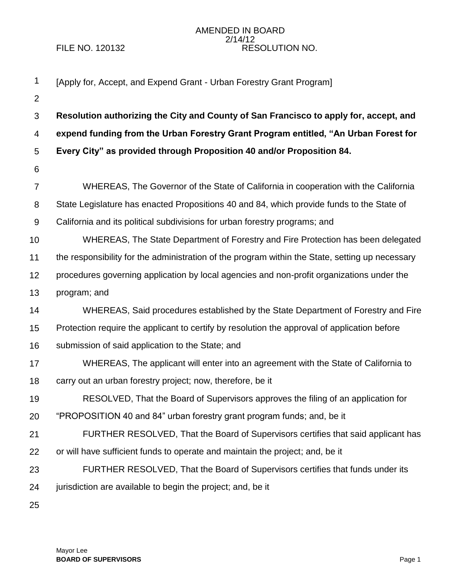## AMENDED IN BOARD 2/14/12 FILE NO. 120132 RESOLUTION NO.

| $\mathbf 1$      | [Apply for, Accept, and Expend Grant - Urban Forestry Grant Program]                            |
|------------------|-------------------------------------------------------------------------------------------------|
| $\overline{2}$   |                                                                                                 |
| 3                | Resolution authorizing the City and County of San Francisco to apply for, accept, and           |
| 4                | expend funding from the Urban Forestry Grant Program entitled, "An Urban Forest for             |
| 5                | Every City" as provided through Proposition 40 and/or Proposition 84.                           |
| 6                |                                                                                                 |
| $\overline{7}$   | WHEREAS, The Governor of the State of California in cooperation with the California             |
| 8                | State Legislature has enacted Propositions 40 and 84, which provide funds to the State of       |
| $\boldsymbol{9}$ | California and its political subdivisions for urban forestry programs; and                      |
| 10               | WHEREAS, The State Department of Forestry and Fire Protection has been delegated                |
| 11               | the responsibility for the administration of the program within the State, setting up necessary |
| 12               | procedures governing application by local agencies and non-profit organizations under the       |
| 13               | program; and                                                                                    |
| 14               | WHEREAS, Said procedures established by the State Department of Forestry and Fire               |
| 15               | Protection require the applicant to certify by resolution the approval of application before    |
| 16               | submission of said application to the State; and                                                |
| 17               | WHEREAS, The applicant will enter into an agreement with the State of California to             |
| 18               | carry out an urban forestry project; now, therefore, be it                                      |
| 19               | RESOLVED, That the Board of Supervisors approves the filing of an application for               |
| 20               | "PROPOSITION 40 and 84" urban forestry grant program funds; and, be it                          |
| 21               | FURTHER RESOLVED, That the Board of Supervisors certifies that said applicant has               |
| 22               | or will have sufficient funds to operate and maintain the project; and, be it                   |
| 23               | FURTHER RESOLVED, That the Board of Supervisors certifies that funds under its                  |
| 24               | jurisdiction are available to begin the project; and, be it                                     |
| 25               |                                                                                                 |